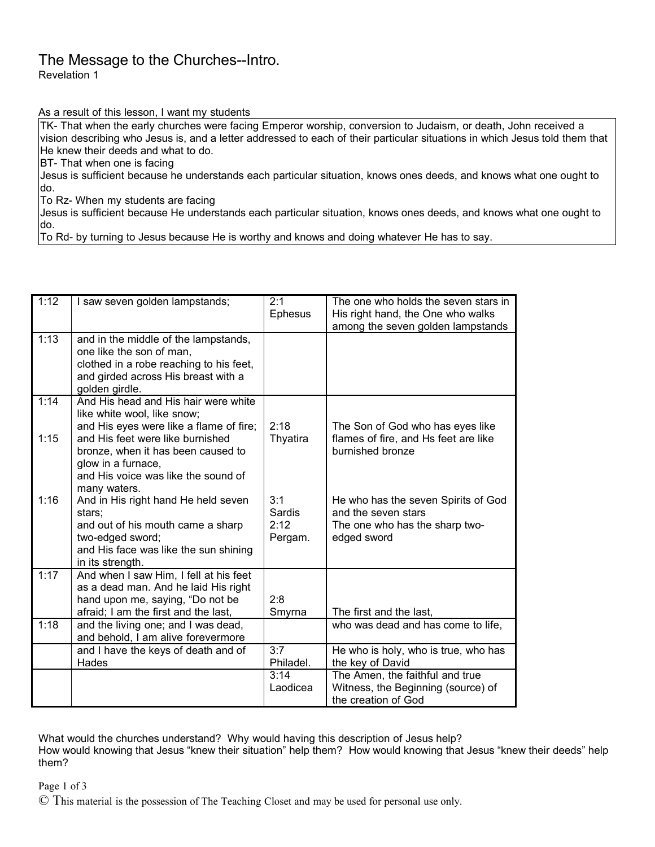## The Message to the Churches--Intro.

Revelation 1

As a result of this lesson, I want my students

TK- That when the early churches were facing Emperor worship, conversion to Judaism, or death, John received a vision describing who Jesus is, and a letter addressed to each of their particular situations in which Jesus told them that He knew their deeds and what to do.

BT- That when one is facing

Jesus is sufficient because he understands each particular situation, knows ones deeds, and knows what one ought to do.

To Rz- When my students are facing

Jesus is sufficient because He understands each particular situation, knows ones deeds, and knows what one ought to do.

To Rd- by turning to Jesus because He is worthy and knows and doing whatever He has to say.

| 1:12         | I saw seven golden lampstands;                                                                                                                                                                                                                                        | 2:1<br>Ephesus                   | The one who holds the seven stars in<br>His right hand, the One who walks<br>among the seven golden lampstands |
|--------------|-----------------------------------------------------------------------------------------------------------------------------------------------------------------------------------------------------------------------------------------------------------------------|----------------------------------|----------------------------------------------------------------------------------------------------------------|
| 1:13         | and in the middle of the lampstands,<br>one like the son of man,<br>clothed in a robe reaching to his feet,<br>and girded across His breast with a<br>golden girdle.                                                                                                  |                                  |                                                                                                                |
| 1:14<br>1:15 | And His head and His hair were white<br>like white wool, like snow;<br>and His eyes were like a flame of fire;<br>and His feet were like burnished<br>bronze, when it has been caused to<br>glow in a furnace,<br>and His voice was like the sound of<br>many waters. | 2:18<br>Thyatira                 | The Son of God who has eyes like<br>flames of fire, and Hs feet are like<br>burnished bronze                   |
| 1:16         | And in His right hand He held seven<br>stars;<br>and out of his mouth came a sharp<br>two-edged sword;<br>and His face was like the sun shining<br>in its strength.                                                                                                   | 3:1<br>Sardis<br>2:12<br>Pergam. | He who has the seven Spirits of God<br>and the seven stars<br>The one who has the sharp two-<br>edged sword    |
| 1:17         | And when I saw Him, I fell at his feet<br>as a dead man. And he laid His right<br>hand upon me, saying, "Do not be<br>afraid; I am the first and the last,                                                                                                            | 2:8<br>Smyrna                    | The first and the last,                                                                                        |
| 1:18         | and the living one; and I was dead,<br>and behold, I am alive forevermore                                                                                                                                                                                             |                                  | who was dead and has come to life,                                                                             |
|              | and I have the keys of death and of<br>Hades                                                                                                                                                                                                                          | 3:7<br>Philadel.                 | He who is holy, who is true, who has<br>the key of David                                                       |
|              |                                                                                                                                                                                                                                                                       | 3:14<br>Laodicea                 | The Amen, the faithful and true<br>Witness, the Beginning (source) of<br>the creation of God                   |

What would the churches understand? Why would having this description of Jesus help?

How would knowing that Jesus "knew their situation" help them? How would knowing that Jesus "knew their deeds" help them?

Page 1 of 3

© This material is the possession of The Teaching Closet and may be used for personal use only.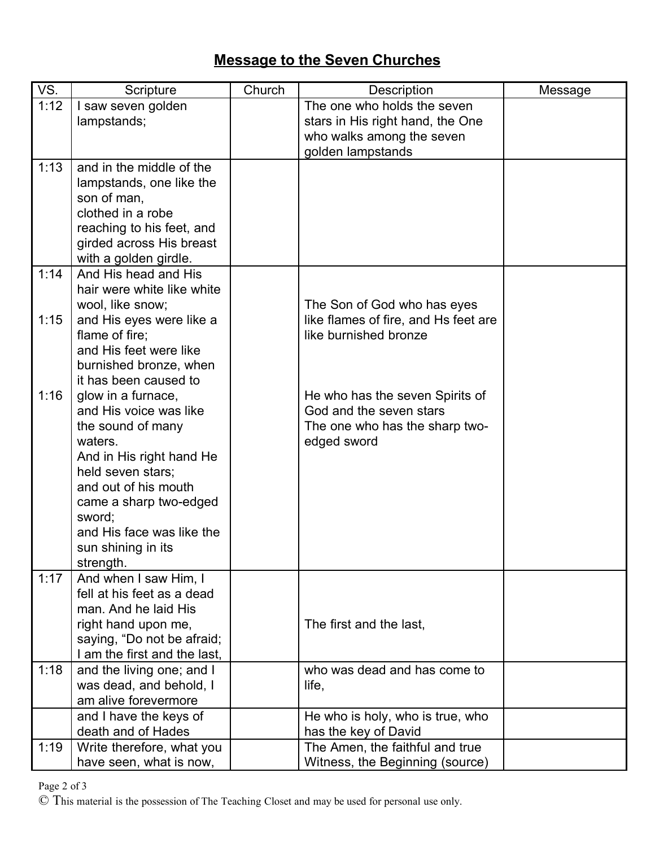## **Message to the Seven Churches**

| VS.  | Scripture                                            | Church | Description                                   | Message |
|------|------------------------------------------------------|--------|-----------------------------------------------|---------|
| 1:12 | I saw seven golden                                   |        | The one who holds the seven                   |         |
|      | lampstands;                                          |        | stars in His right hand, the One              |         |
|      |                                                      |        | who walks among the seven                     |         |
|      |                                                      |        | golden lampstands                             |         |
| 1:13 | and in the middle of the<br>lampstands, one like the |        |                                               |         |
|      | son of man,                                          |        |                                               |         |
|      | clothed in a robe                                    |        |                                               |         |
|      | reaching to his feet, and                            |        |                                               |         |
|      | girded across His breast                             |        |                                               |         |
|      | with a golden girdle.                                |        |                                               |         |
| 1:14 | And His head and His                                 |        |                                               |         |
|      | hair were white like white                           |        |                                               |         |
|      | wool, like snow;                                     |        | The Son of God who has eyes                   |         |
| 1:15 | and His eyes were like a                             |        | like flames of fire, and Hs feet are          |         |
|      | flame of fire;                                       |        | like burnished bronze                         |         |
|      | and His feet were like                               |        |                                               |         |
|      | burnished bronze, when                               |        |                                               |         |
|      | it has been caused to                                |        |                                               |         |
| 1:16 | glow in a furnace,                                   |        | He who has the seven Spirits of               |         |
|      | and His voice was like                               |        | God and the seven stars                       |         |
|      | the sound of many<br>waters.                         |        | The one who has the sharp two-<br>edged sword |         |
|      | And in His right hand He                             |        |                                               |         |
|      | held seven stars;                                    |        |                                               |         |
|      | and out of his mouth                                 |        |                                               |         |
|      | came a sharp two-edged                               |        |                                               |         |
|      | sword;                                               |        |                                               |         |
|      | and His face was like the                            |        |                                               |         |
|      | sun shining in its                                   |        |                                               |         |
|      | strength.                                            |        |                                               |         |
| 1:17 | And when I saw Him, I                                |        |                                               |         |
|      | fell at his feet as a dead                           |        |                                               |         |
|      | man. And he laid His                                 |        |                                               |         |
|      | right hand upon me,                                  |        | The first and the last,                       |         |
|      | saying, "Do not be afraid;                           |        |                                               |         |
| 1:18 | I am the first and the last,                         |        | who was dead and has come to                  |         |
|      | and the living one; and I<br>was dead, and behold, I |        | life,                                         |         |
|      | am alive forevermore                                 |        |                                               |         |
|      | and I have the keys of                               |        | He who is holy, who is true, who              |         |
|      | death and of Hades                                   |        | has the key of David                          |         |
| 1:19 | Write therefore, what you                            |        | The Amen, the faithful and true               |         |
|      | have seen, what is now,                              |        | Witness, the Beginning (source)               |         |

Page 2 of 3

© This material is the possession of The Teaching Closet and may be used for personal use only.